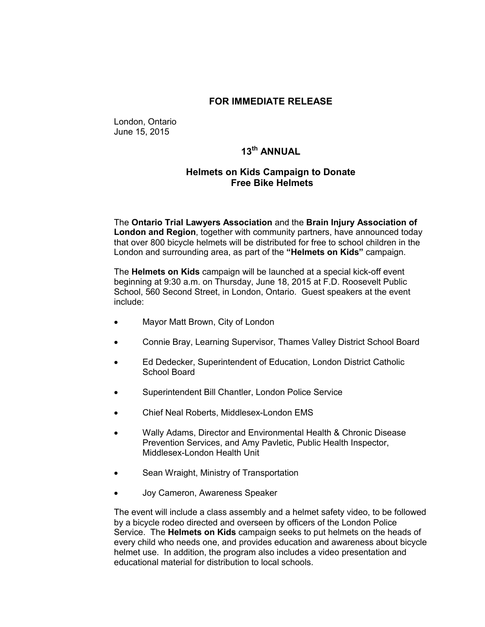## **FOR IMMEDIATE RELEASE**

London, Ontario June 15, 2015

**13th ANNUAL**

## **Helmets on Kids Campaign to Donate Free Bike Helmets**

The **Ontario Trial Lawyers Association** and the **Brain Injury Association of London and Region**, together with community partners, have announced today that over 800 bicycle helmets will be distributed for free to school children in the London and surrounding area, as part of the **"Helmets on Kids"** campaign.

The **Helmets on Kids** campaign will be launched at a special kick-off event beginning at 9:30 a.m. on Thursday, June 18, 2015 at F.D. Roosevelt Public School, 560 Second Street, in London, Ontario. Guest speakers at the event include:

- Mayor Matt Brown, City of London
- Connie Bray, Learning Supervisor, Thames Valley District School Board
- Ed Dedecker, Superintendent of Education, London District Catholic School Board
- Superintendent Bill Chantler, London Police Service
- Chief Neal Roberts, Middlesex-London EMS
- Wally Adams, Director and Environmental Health & Chronic Disease Prevention Services, and Amy Pavletic, Public Health Inspector, Middlesex-London Health Unit
- Sean Wraight, Ministry of Transportation
- Joy Cameron, Awareness Speaker

The event will include a class assembly and a helmet safety video, to be followed by a bicycle rodeo directed and overseen by officers of the London Police Service. The **Helmets on Kids** campaign seeks to put helmets on the heads of every child who needs one, and provides education and awareness about bicycle helmet use. In addition, the program also includes a video presentation and educational material for distribution to local schools.